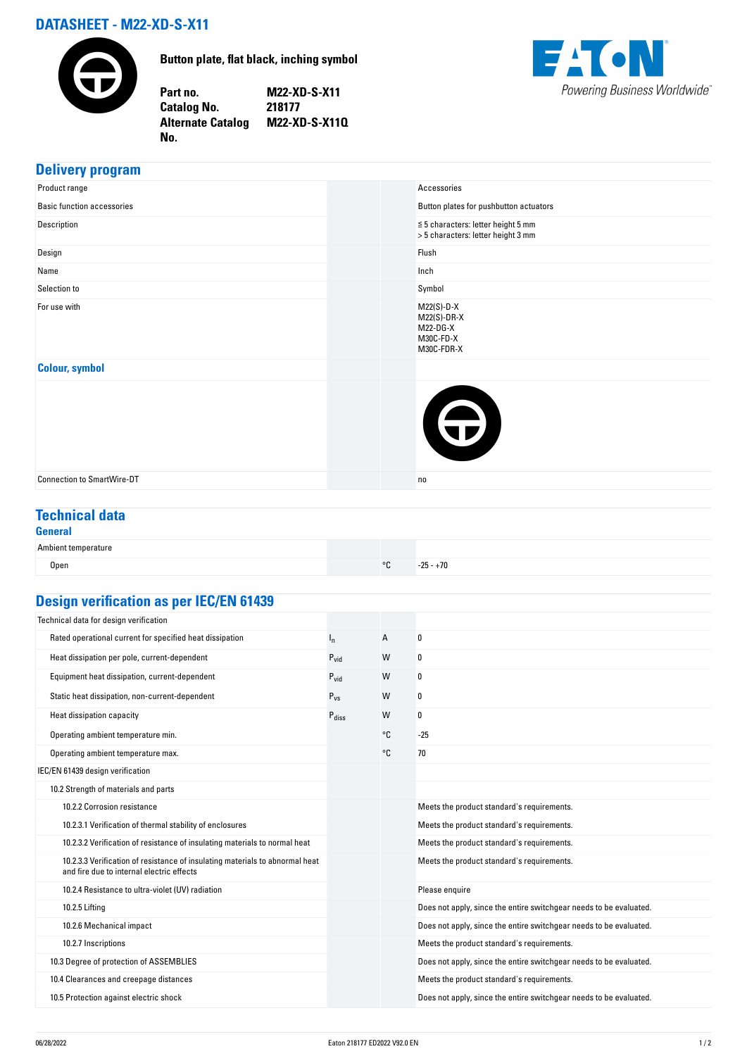# **DATASHEET - M22-XD-S-X11**

**No.** 



**Button plate, flat black, inching symbol**

**Part no. M22-XD-S-X11 Catalog No. 218177 Alternate Catalog M22-XD-S-X11Q**



## **Delivery program**

| Product range                     | Accessories                                                                   |
|-----------------------------------|-------------------------------------------------------------------------------|
| <b>Basic function accessories</b> | Button plates for pushbutton actuators                                        |
| Description                       | $\leq$ 5 characters: letter height 5 mm<br>> 5 characters: letter height 3 mm |
| Design                            | Flush                                                                         |
| Name                              | Inch                                                                          |
| Selection to                      | Symbol                                                                        |
| For use with                      | $M22(S)-D-X$<br>$M22(S)-DR-X$<br>M22-DG-X<br>M30C-FD-X<br>M30C-FDR-X          |
| <b>Colour, symbol</b>             |                                                                               |
|                                   | $\bigoplus$                                                                   |
| <b>Connection to SmartWire-DT</b> | n <sub>0</sub>                                                                |

## **Technical data**

#### **General**

| Ambient temperature |            |                                     |
|---------------------|------------|-------------------------------------|
| Open                | $^{\circ}$ | $-25 - +70$<br>$\sim$ $\sim$ $\sim$ |

# **Design verification as per IEC/EN 61439**

| Technical data for design verification                                                                                    |                   |    |                                                                    |
|---------------------------------------------------------------------------------------------------------------------------|-------------------|----|--------------------------------------------------------------------|
| Rated operational current for specified heat dissipation                                                                  | In.               | Α  | 0                                                                  |
| Heat dissipation per pole, current-dependent                                                                              | $P_{\text{vid}}$  | W  | 0                                                                  |
| Equipment heat dissipation, current-dependent                                                                             | $P_{\text{vid}}$  | W  | 0                                                                  |
| Static heat dissipation, non-current-dependent                                                                            | $P_{VS}$          | W  | 0                                                                  |
| Heat dissipation capacity                                                                                                 | $P_{\text{diss}}$ | W  | 0                                                                  |
| Operating ambient temperature min.                                                                                        |                   | °C | $-25$                                                              |
| Operating ambient temperature max.                                                                                        |                   | °C | 70                                                                 |
| IEC/EN 61439 design verification                                                                                          |                   |    |                                                                    |
| 10.2 Strength of materials and parts                                                                                      |                   |    |                                                                    |
| 10.2.2 Corrosion resistance                                                                                               |                   |    | Meets the product standard's requirements.                         |
| 10.2.3.1 Verification of thermal stability of enclosures                                                                  |                   |    | Meets the product standard's requirements.                         |
| 10.2.3.2 Verification of resistance of insulating materials to normal heat                                                |                   |    | Meets the product standard's requirements.                         |
| 10.2.3.3 Verification of resistance of insulating materials to abnormal heat<br>and fire due to internal electric effects |                   |    | Meets the product standard's requirements.                         |
| 10.2.4 Resistance to ultra-violet (UV) radiation                                                                          |                   |    | Please enquire                                                     |
| 10.2.5 Lifting                                                                                                            |                   |    | Does not apply, since the entire switchgear needs to be evaluated. |
| 10.2.6 Mechanical impact                                                                                                  |                   |    | Does not apply, since the entire switchgear needs to be evaluated. |
| 10.2.7 Inscriptions                                                                                                       |                   |    | Meets the product standard's requirements.                         |
| 10.3 Degree of protection of ASSEMBLIES                                                                                   |                   |    | Does not apply, since the entire switchgear needs to be evaluated. |
| 10.4 Clearances and creepage distances                                                                                    |                   |    | Meets the product standard's requirements.                         |
| 10.5 Protection against electric shock                                                                                    |                   |    | Does not apply, since the entire switchgear needs to be evaluated. |
|                                                                                                                           |                   |    |                                                                    |